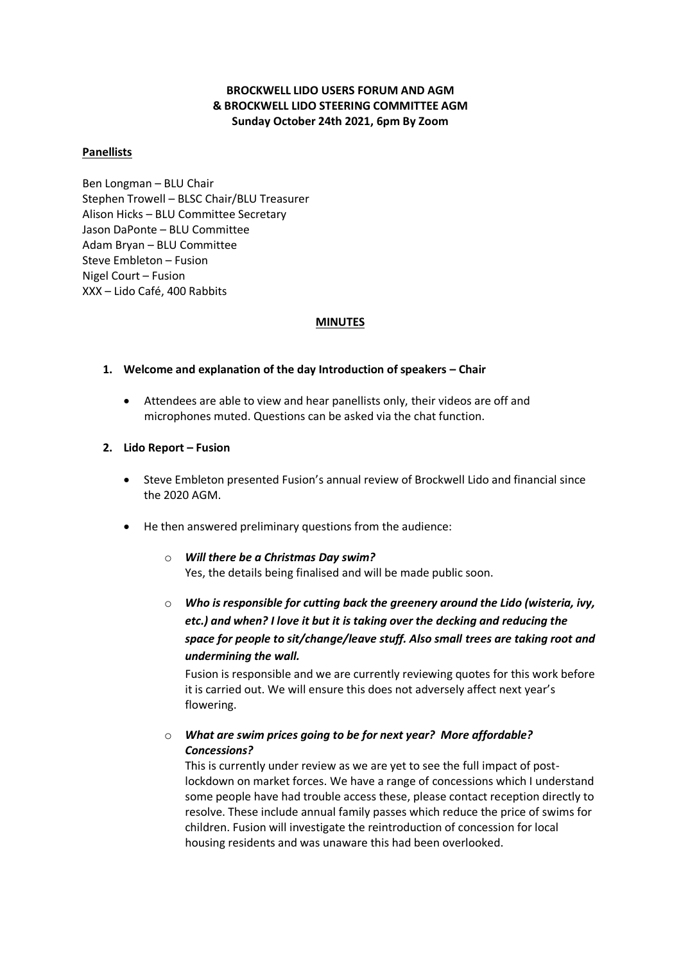# **BROCKWELL LIDO USERS FORUM AND AGM & BROCKWELL LIDO STEERING COMMITTEE AGM Sunday October 24th 2021, 6pm By Zoom**

### **Panellists**

Ben Longman – BLU Chair Stephen Trowell – BLSC Chair/BLU Treasurer Alison Hicks – BLU Committee Secretary Jason DaPonte – BLU Committee Adam Bryan – BLU Committee Steve Embleton – Fusion Nigel Court – Fusion XXX – Lido Café, 400 Rabbits

### **MINUTES**

## **1. Welcome and explanation of the day Introduction of speakers – Chair**

• Attendees are able to view and hear panellists only, their videos are off and microphones muted. Questions can be asked via the chat function.

## **2. Lido Report – Fusion**

- Steve Embleton presented Fusion's annual review of Brockwell Lido and financial since the 2020 AGM.
- He then answered preliminary questions from the audience:

## o *Will there be a Christmas Day swim?* Yes, the details being finalised and will be made public soon.

o *Who is responsible for cutting back the greenery around the Lido (wisteria, ivy, etc.) and when? I love it but it is taking over the decking and reducing the space for people to sit/change/leave stuff. Also small trees are taking root and undermining the wall.*

Fusion is responsible and we are currently reviewing quotes for this work before it is carried out. We will ensure this does not adversely affect next year's flowering.

# o *What are swim prices going to be for next year? More affordable? Concessions?*

This is currently under review as we are yet to see the full impact of postlockdown on market forces. We have a range of concessions which I understand some people have had trouble access these, please contact reception directly to resolve. These include annual family passes which reduce the price of swims for children. Fusion will investigate the reintroduction of concession for local housing residents and was unaware this had been overlooked.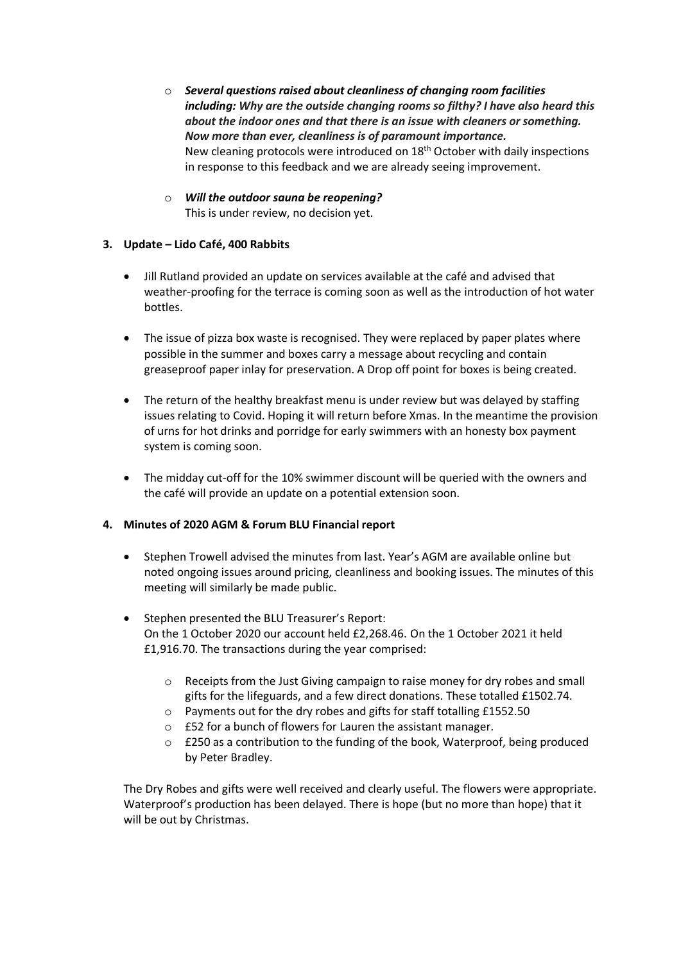- o *Several questions raised about cleanliness of changing room facilities including: Why are the outside changing rooms so filthy? I have also heard this about the indoor ones and that there is an issue with cleaners or something. Now more than ever, cleanliness is of paramount importance.*  New cleaning protocols were introduced on 18<sup>th</sup> October with daily inspections in response to this feedback and we are already seeing improvement.
- o *Will the outdoor sauna be reopening?* This is under review, no decision yet.

# **3. Update – Lido Café, 400 Rabbits**

- Jill Rutland provided an update on services available at the café and advised that weather-proofing for the terrace is coming soon as well as the introduction of hot water bottles.
- The issue of pizza box waste is recognised. They were replaced by paper plates where possible in the summer and boxes carry a message about recycling and contain greaseproof paper inlay for preservation. A Drop off point for boxes is being created.
- The return of the healthy breakfast menu is under review but was delayed by staffing issues relating to Covid. Hoping it will return before Xmas. In the meantime the provision of urns for hot drinks and porridge for early swimmers with an honesty box payment system is coming soon.
- The midday cut-off for the 10% swimmer discount will be queried with the owners and the café will provide an update on a potential extension soon.

# **4. Minutes of 2020 AGM & Forum BLU Financial report**

- Stephen Trowell advised the minutes from last. Year's AGM are available online but noted ongoing issues around pricing, cleanliness and booking issues. The minutes of this meeting will similarly be made public.
- Stephen presented the BLU Treasurer's Report: On the 1 October 2020 our account held £2,268.46. On the 1 October 2021 it held £1,916.70. The transactions during the year comprised:
	- o Receipts from the Just Giving campaign to raise money for dry robes and small gifts for the lifeguards, and a few direct donations. These totalled £1502.74.
	- o Payments out for the dry robes and gifts for staff totalling £1552.50
	- o £52 for a bunch of flowers for Lauren the assistant manager.
	- $\circ$  £250 as a contribution to the funding of the book, Waterproof, being produced by Peter Bradley.

The Dry Robes and gifts were well received and clearly useful. The flowers were appropriate. Waterproof's production has been delayed. There is hope (but no more than hope) that it will be out by Christmas.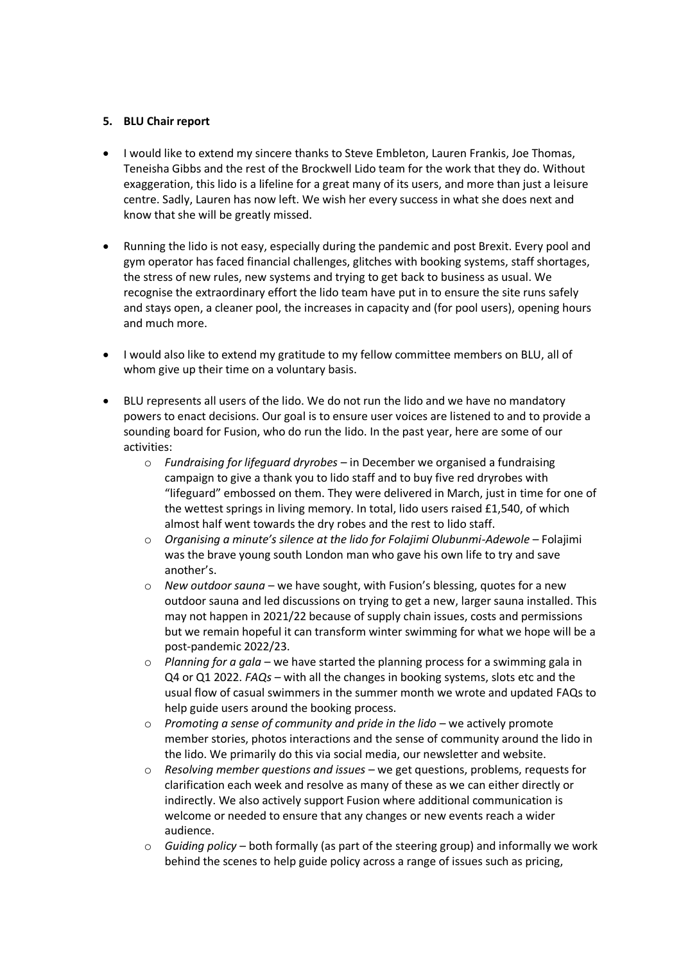## **5. BLU Chair report**

- I would like to extend my sincere thanks to Steve Embleton, Lauren Frankis, Joe Thomas, Teneisha Gibbs and the rest of the Brockwell Lido team for the work that they do. Without exaggeration, this lido is a lifeline for a great many of its users, and more than just a leisure centre. Sadly, Lauren has now left. We wish her every success in what she does next and know that she will be greatly missed.
- Running the lido is not easy, especially during the pandemic and post Brexit. Every pool and gym operator has faced financial challenges, glitches with booking systems, staff shortages, the stress of new rules, new systems and trying to get back to business as usual. We recognise the extraordinary effort the lido team have put in to ensure the site runs safely and stays open, a cleaner pool, the increases in capacity and (for pool users), opening hours and much more.
- I would also like to extend my gratitude to my fellow committee members on BLU, all of whom give up their time on a voluntary basis.
- BLU represents all users of the lido. We do not run the lido and we have no mandatory powers to enact decisions. Our goal is to ensure user voices are listened to and to provide a sounding board for Fusion, who do run the lido. In the past year, here are some of our activities:
	- o *Fundraising for lifeguard dryrobes*  in December we organised a fundraising campaign to give a thank you to lido staff and to buy five red dryrobes with "lifeguard" embossed on them. They were delivered in March, just in time for one of the wettest springs in living memory. In total, lido users raised £1,540, of which almost half went towards the dry robes and the rest to lido staff.
	- o *Organising a minute's silence at the lido for Folajimi Olubunmi-Adewole*  Folajimi was the brave young south London man who gave his own life to try and save another's.
	- o *New outdoor sauna*  we have sought, with Fusion's blessing, quotes for a new outdoor sauna and led discussions on trying to get a new, larger sauna installed. This may not happen in 2021/22 because of supply chain issues, costs and permissions but we remain hopeful it can transform winter swimming for what we hope will be a post-pandemic 2022/23.
	- o *Planning for a gala*  we have started the planning process for a swimming gala in Q4 or Q1 2022. *FAQs* – with all the changes in booking systems, slots etc and the usual flow of casual swimmers in the summer month we wrote and updated FAQs to help guide users around the booking process.
	- o *Promoting a sense of community and pride in the lido* we actively promote member stories, photos interactions and the sense of community around the lido in the lido. We primarily do this via social media, our newsletter and website.
	- o *Resolving member questions and issues*  we get questions, problems, requests for clarification each week and resolve as many of these as we can either directly or indirectly. We also actively support Fusion where additional communication is welcome or needed to ensure that any changes or new events reach a wider audience.
	- o *Guiding policy*  both formally (as part of the steering group) and informally we work behind the scenes to help guide policy across a range of issues such as pricing,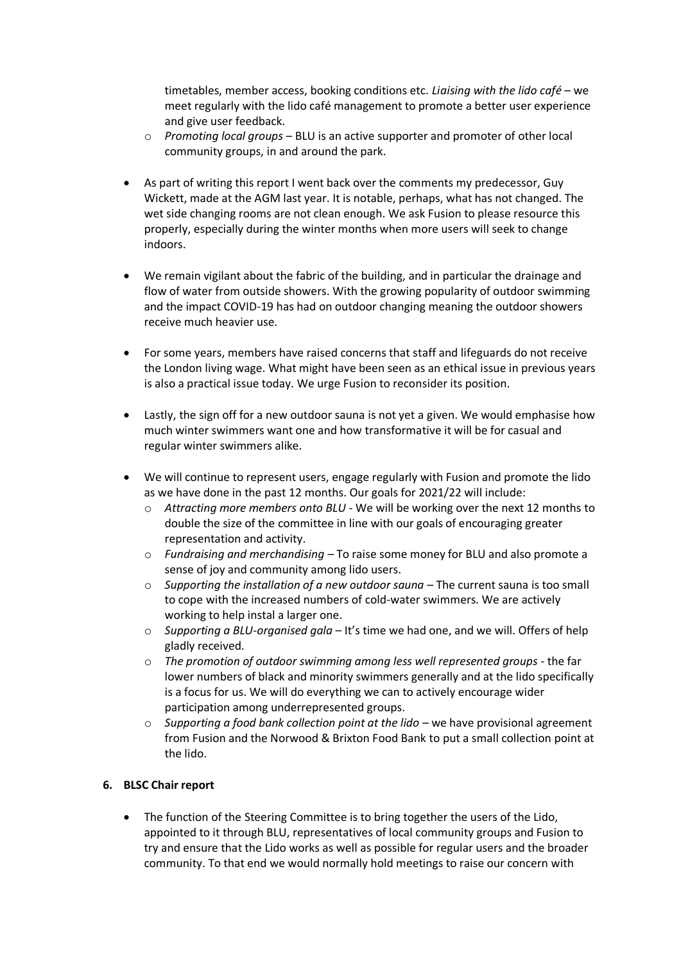timetables, member access, booking conditions etc. *Liaising with the lido café* – we meet regularly with the lido café management to promote a better user experience and give user feedback.

- o *Promoting local groups*  BLU is an active supporter and promoter of other local community groups, in and around the park.
- As part of writing this report I went back over the comments my predecessor, Guy Wickett, made at the AGM last year. It is notable, perhaps, what has not changed. The wet side changing rooms are not clean enough. We ask Fusion to please resource this properly, especially during the winter months when more users will seek to change indoors.
- We remain vigilant about the fabric of the building, and in particular the drainage and flow of water from outside showers. With the growing popularity of outdoor swimming and the impact COVID-19 has had on outdoor changing meaning the outdoor showers receive much heavier use.
- For some years, members have raised concerns that staff and lifeguards do not receive the London living wage. What might have been seen as an ethical issue in previous years is also a practical issue today. We urge Fusion to reconsider its position.
- Lastly, the sign off for a new outdoor sauna is not yet a given. We would emphasise how much winter swimmers want one and how transformative it will be for casual and regular winter swimmers alike.
- We will continue to represent users, engage regularly with Fusion and promote the lido as we have done in the past 12 months. Our goals for 2021/22 will include:
	- o *Attracting more members onto BLU*  We will be working over the next 12 months to double the size of the committee in line with our goals of encouraging greater representation and activity.
	- o *Fundraising and merchandising –* To raise some money for BLU and also promote a sense of joy and community among lido users.
	- o *Supporting the installation of a new outdoor sauna*  The current sauna is too small to cope with the increased numbers of cold-water swimmers. We are actively working to help instal a larger one.
	- o *Supporting a BLU-organised gala*  It's time we had one, and we will. Offers of help gladly received.
	- o *The promotion of outdoor swimming among less well represented groups*  the far lower numbers of black and minority swimmers generally and at the lido specifically is a focus for us. We will do everything we can to actively encourage wider participation among underrepresented groups.
	- $\circ$  *Supporting a food bank collection point at the lido* we have provisional agreement from Fusion and the Norwood & Brixton Food Bank to put a small collection point at the lido.

# **6. BLSC Chair report**

The function of the Steering Committee is to bring together the users of the Lido, appointed to it through BLU, representatives of local community groups and Fusion to try and ensure that the Lido works as well as possible for regular users and the broader community. To that end we would normally hold meetings to raise our concern with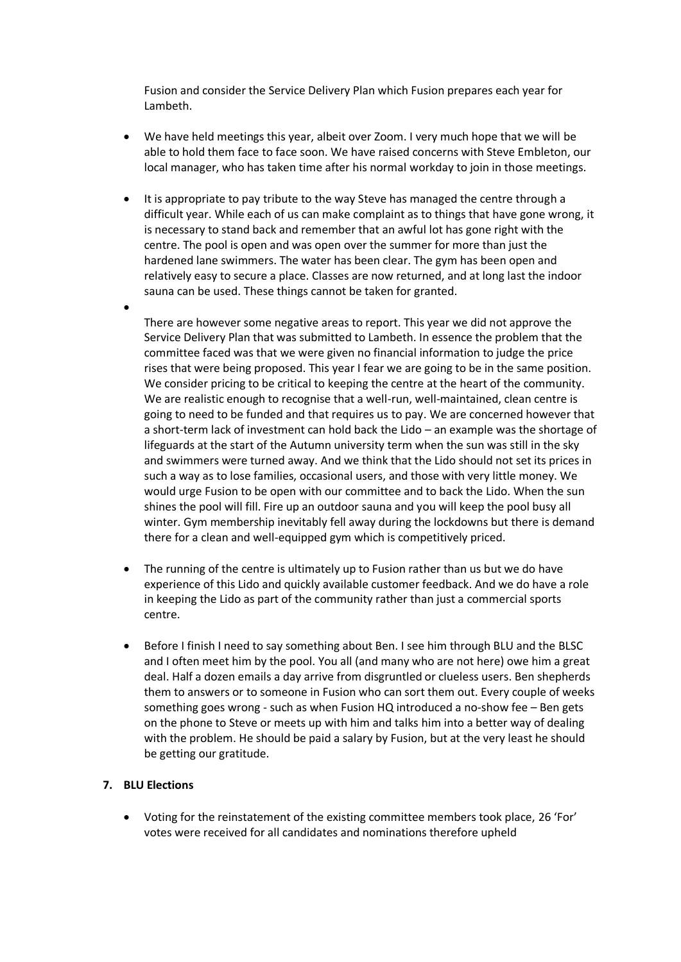Fusion and consider the Service Delivery Plan which Fusion prepares each year for Lambeth.

- We have held meetings this year, albeit over Zoom. I very much hope that we will be able to hold them face to face soon. We have raised concerns with Steve Embleton, our local manager, who has taken time after his normal workday to join in those meetings.
- It is appropriate to pay tribute to the way Steve has managed the centre through a difficult year. While each of us can make complaint as to things that have gone wrong, it is necessary to stand back and remember that an awful lot has gone right with the centre. The pool is open and was open over the summer for more than just the hardened lane swimmers. The water has been clear. The gym has been open and relatively easy to secure a place. Classes are now returned, and at long last the indoor sauna can be used. These things cannot be taken for granted.

•

There are however some negative areas to report. This year we did not approve the Service Delivery Plan that was submitted to Lambeth. In essence the problem that the committee faced was that we were given no financial information to judge the price rises that were being proposed. This year I fear we are going to be in the same position. We consider pricing to be critical to keeping the centre at the heart of the community. We are realistic enough to recognise that a well-run, well-maintained, clean centre is going to need to be funded and that requires us to pay. We are concerned however that a short-term lack of investment can hold back the Lido – an example was the shortage of lifeguards at the start of the Autumn university term when the sun was still in the sky and swimmers were turned away. And we think that the Lido should not set its prices in such a way as to lose families, occasional users, and those with very little money. We would urge Fusion to be open with our committee and to back the Lido. When the sun shines the pool will fill. Fire up an outdoor sauna and you will keep the pool busy all winter. Gym membership inevitably fell away during the lockdowns but there is demand there for a clean and well-equipped gym which is competitively priced.

- The running of the centre is ultimately up to Fusion rather than us but we do have experience of this Lido and quickly available customer feedback. And we do have a role in keeping the Lido as part of the community rather than just a commercial sports centre.
- Before I finish I need to say something about Ben. I see him through BLU and the BLSC and I often meet him by the pool. You all (and many who are not here) owe him a great deal. Half a dozen emails a day arrive from disgruntled or clueless users. Ben shepherds them to answers or to someone in Fusion who can sort them out. Every couple of weeks something goes wrong - such as when Fusion HQ introduced a no-show fee – Ben gets on the phone to Steve or meets up with him and talks him into a better way of dealing with the problem. He should be paid a salary by Fusion, but at the very least he should be getting our gratitude.

### **7. BLU Elections**

• Voting for the reinstatement of the existing committee members took place, 26 'For' votes were received for all candidates and nominations therefore upheld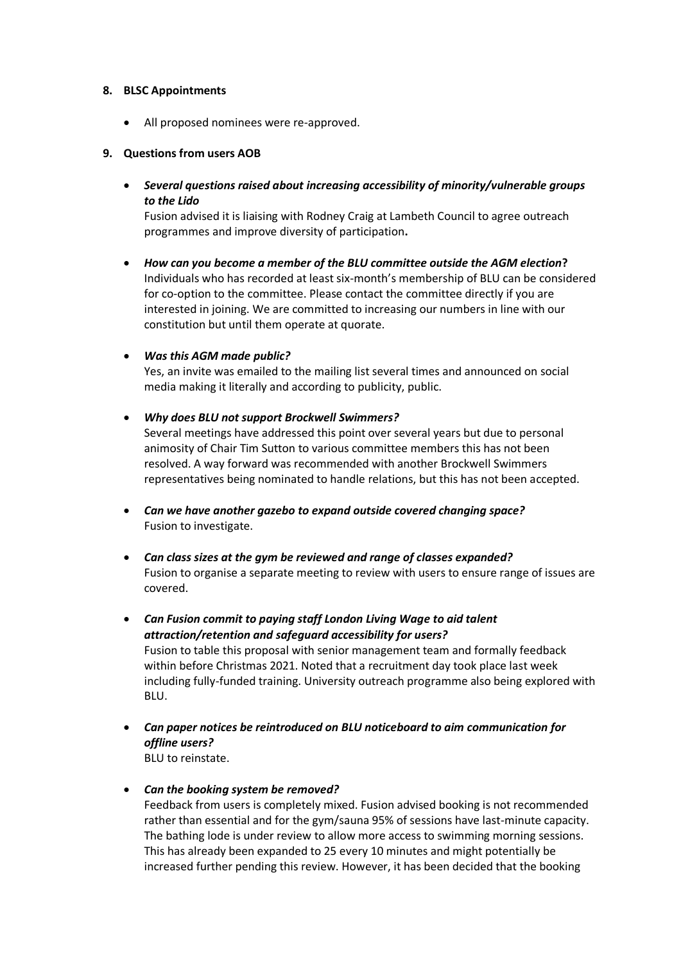### **8. BLSC Appointments**

• All proposed nominees were re-approved.

#### **9. Questions from users AOB**

• *Several questions raised about increasing accessibility of minority/vulnerable groups to the Lido*

Fusion advised it is liaising with Rodney Craig at Lambeth Council to agree outreach programmes and improve diversity of participation**.**

• *How can you become a member of the BLU committee outside the AGM election***?** Individuals who has recorded at least six-month's membership of BLU can be considered for co-option to the committee. Please contact the committee directly if you are interested in joining. We are committed to increasing our numbers in line with our constitution but until them operate at quorate.

#### • *Was this AGM made public?*

Yes, an invite was emailed to the mailing list several times and announced on social media making it literally and according to publicity, public.

- *Why does BLU not support Brockwell Swimmers?* Several meetings have addressed this point over several years but due to personal animosity of Chair Tim Sutton to various committee members this has not been resolved. A way forward was recommended with another Brockwell Swimmers representatives being nominated to handle relations, but this has not been accepted.
- *Can we have another gazebo to expand outside covered changing space?* Fusion to investigate.
- *Can class sizes at the gym be reviewed and range of classes expanded?* Fusion to organise a separate meeting to review with users to ensure range of issues are covered.
- *Can Fusion commit to paying staff London Living Wage to aid talent attraction/retention and safeguard accessibility for users?* Fusion to table this proposal with senior management team and formally feedback within before Christmas 2021. Noted that a recruitment day took place last week including fully-funded training. University outreach programme also being explored with BLU.
- *Can paper notices be reintroduced on BLU noticeboard to aim communication for offline users?* BLU to reinstate.
- *Can the booking system be removed?*

Feedback from users is completely mixed. Fusion advised booking is not recommended rather than essential and for the gym/sauna 95% of sessions have last-minute capacity. The bathing lode is under review to allow more access to swimming morning sessions. This has already been expanded to 25 every 10 minutes and might potentially be increased further pending this review. However, it has been decided that the booking